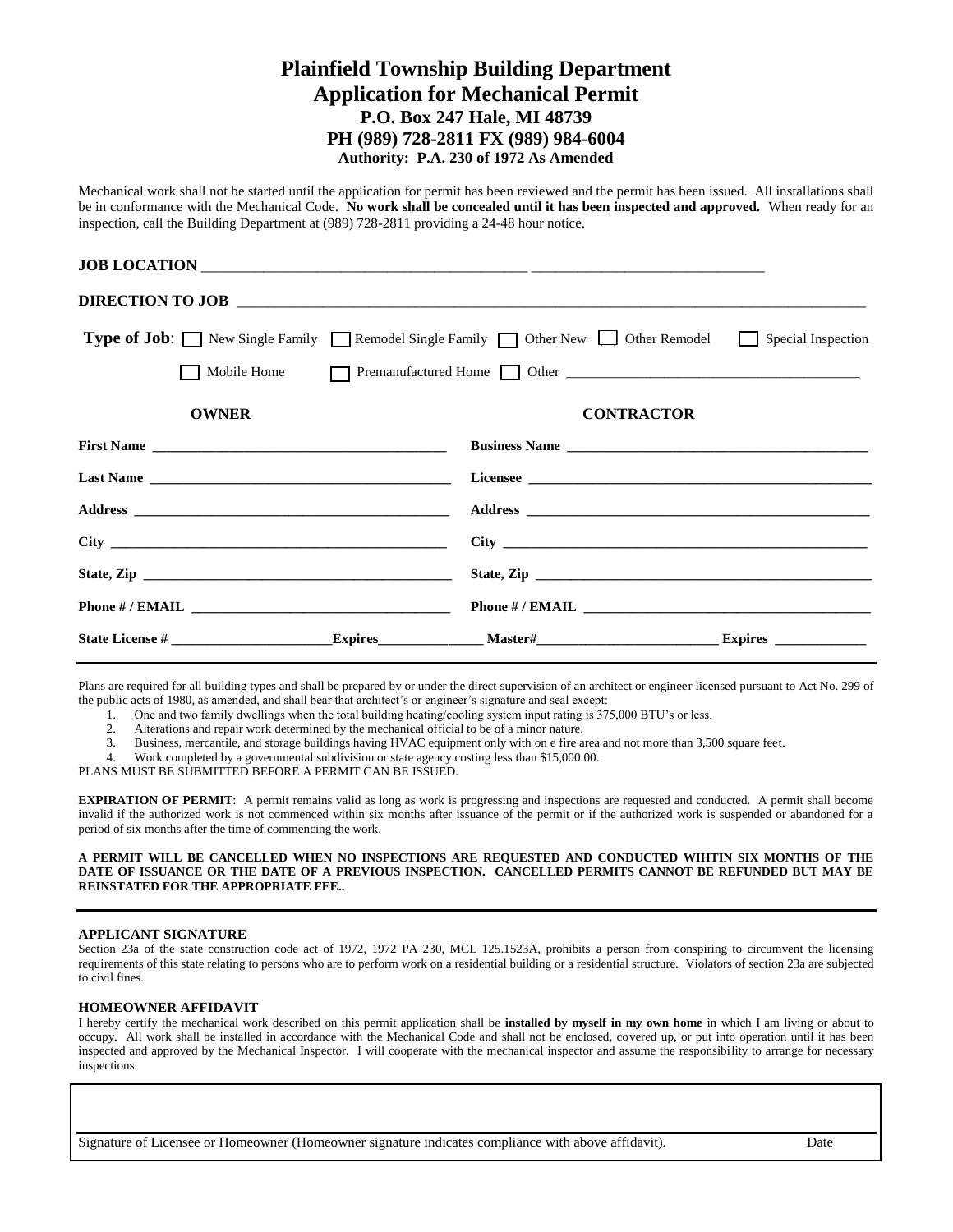## **Plainfield Township Building Department Application for Mechanical Permit P.O. Box 247 Hale, MI 48739 PH (989) 728-2811 FX (989) 984-6004 Authority: P.A. 230 of 1972 As Amended**

Mechanical work shall not be started until the application for permit has been reviewed and the permit has been issued. All installations shall be in conformance with the Mechanical Code. **No work shall be concealed until it has been inspected and approved.** When ready for an inspection, call the Building Department at (989) 728-2811 providing a 24-48 hour notice.

|                                 |  | <b>JOB LOCATION</b>                                                                                    |                |  |  |
|---------------------------------|--|--------------------------------------------------------------------------------------------------------|----------------|--|--|
| DIRECTION TO JOB                |  |                                                                                                        |                |  |  |
|                                 |  | <b>Type of Job:</b> New Single Family Remodel Single Family Other New Other Remodel Special Inspection |                |  |  |
| Mobile Home                     |  |                                                                                                        |                |  |  |
| <b>OWNER</b>                    |  | <b>CONTRACTOR</b>                                                                                      |                |  |  |
|                                 |  | Business Name                                                                                          |                |  |  |
|                                 |  |                                                                                                        |                |  |  |
|                                 |  |                                                                                                        |                |  |  |
|                                 |  |                                                                                                        |                |  |  |
|                                 |  |                                                                                                        |                |  |  |
| Phone # / EMAIL $\qquad \qquad$ |  | Phone # / EMAL                                                                                         |                |  |  |
|                                 |  |                                                                                                        | <b>Expires</b> |  |  |

Plans are required for all building types and shall be prepared by or under the direct supervision of an architect or engineer licensed pursuant to Act No. 299 of the public acts of 1980, as amended, and shall bear that architect's or engineer's signature and seal except:

- 1. One and two family dwellings when the total building heating/cooling system input rating is 375,000 BTU's or less.
- 2. Alterations and repair work determined by the mechanical official to be of a minor nature.
- 3. Business, mercantile, and storage buildings having HVAC equipment only with on e fire area and not more than 3,500 square feet.
- 4. Work completed by a governmental subdivision or state agency costing less than \$15,000.00.

PLANS MUST BE SUBMITTED BEFORE A PERMIT CAN BE ISSUED.

**EXPIRATION OF PERMIT**: A permit remains valid as long as work is progressing and inspections are requested and conducted. A permit shall become invalid if the authorized work is not commenced within six months after issuance of the permit or if the authorized work is suspended or abandoned for a period of six months after the time of commencing the work.

#### **A PERMIT WILL BE CANCELLED WHEN NO INSPECTIONS ARE REQUESTED AND CONDUCTED WIHTIN SIX MONTHS OF THE DATE OF ISSUANCE OR THE DATE OF A PREVIOUS INSPECTION. CANCELLED PERMITS CANNOT BE REFUNDED BUT MAY BE REINSTATED FOR THE APPROPRIATE FEE..**

### **APPLICANT SIGNATURE**

Section 23a of the state construction code act of 1972, 1972 PA 230, MCL 125.1523A, prohibits a person from conspiring to circumvent the licensing requirements of this state relating to persons who are to perform work on a residential building or a residential structure. Violators of section 23a are subjected to civil fines.

## **HOMEOWNER AFFIDAVIT**

I hereby certify the mechanical work described on this permit application shall be **installed by myself in my own home** in which I am living or about to occupy. All work shall be installed in accordance with the Mechanical Code and shall not be enclosed, covered up, or put into operation until it has been inspected and approved by the Mechanical Inspector. I will cooperate with the mechanical inspector and assume the responsibility to arrange for necessary inspections.

Signature of Licensee or Homeowner (Homeowner signature indicates compliance with above affidavit). Date